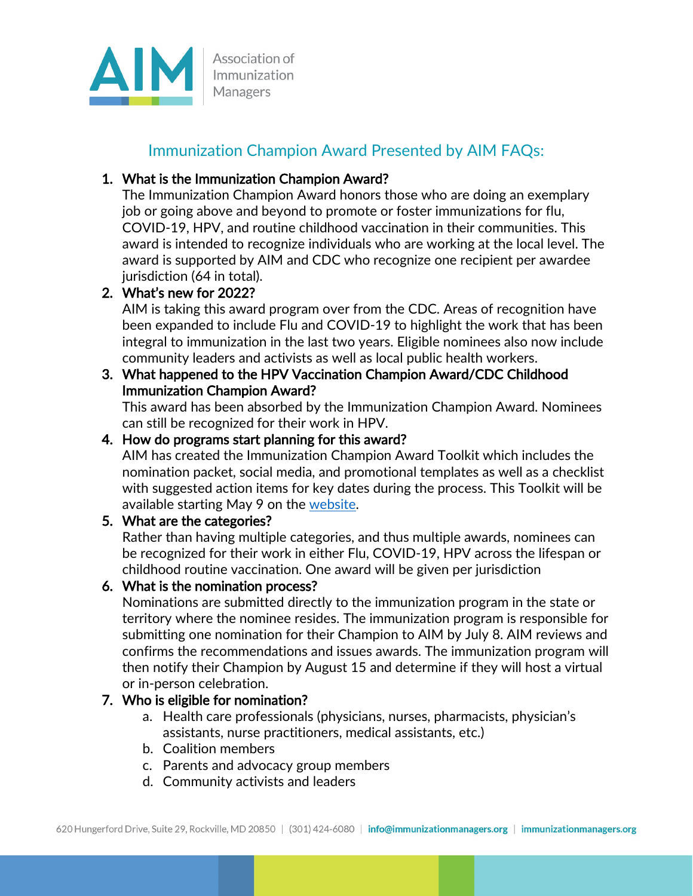

# Immunization Champion Award Presented by AIM FAQs:

# 1. What is the Immunization Champion Award?

The Immunization Champion Award honors those who are doing an exemplary job or going above and beyond to promote or foster immunizations for flu, COVID-19, HPV, and routine childhood vaccination in their communities. This award is intended to recognize individuals who are working at the local level. The award is supported by AIM and CDC who recognize one recipient per awardee jurisdiction (64 in total).

#### 2. What's new for 2022?

AIM is taking this award program over from the CDC. Areas of recognition have been expanded to include Flu and COVID-19 to highlight the work that has been integral to immunization in the last two years. Eligible nominees also now include community leaders and activists as well as local public health workers.

#### 3. What happened to the HPV Vaccination Champion Award/CDC Childhood Immunization Champion Award?

This award has been absorbed by the Immunization Champion Award. Nominees can still be recognized for their work in HPV.

#### 4. How do programs start planning for this award?

AIM has created the Immunization Champion Award Toolkit which includes the nomination packet, social media, and promotional templates as well as a checklist with suggested action items for key dates during the process. This Toolkit will be available starting May 9 on the [website.](https://www.immunizationmanagers.org/about-aim/awards/champion-awards/)

# 5. What are the categories?

Rather than having multiple categories, and thus multiple awards, nominees can be recognized for their work in either Flu, COVID-19, HPV across the lifespan or childhood routine vaccination. One award will be given per jurisdiction

# 6. What is the nomination process?

Nominations are submitted directly to the immunization program in the state or territory where the nominee resides. The immunization program is responsible for submitting one nomination for their Champion to AIM by July 8. AIM reviews and confirms the recommendations and issues awards. The immunization program will then notify their Champion by August 15 and determine if they will host a virtual or in-person celebration.

# 7. Who is eligible for nomination?

- a. Health care professionals (physicians, nurses, pharmacists, physician's assistants, nurse practitioners, medical assistants, etc.)
- b. Coalition members
- c. Parents and advocacy group members
- d. Community activists and leaders